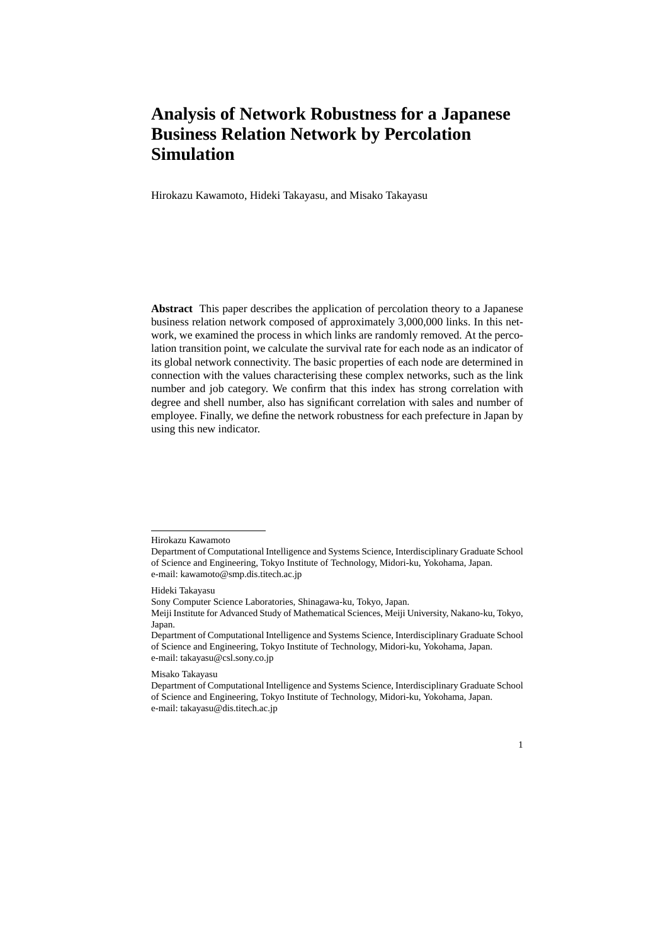# **Analysis of Network Robustness for a Japanese Business Relation Network by Percolation Simulation**

Hirokazu Kawamoto, Hideki Takayasu, and Misako Takayasu

**Abstract** This paper describes the application of percolation theory to a Japanese business relation network composed of approximately 3,000,000 links. In this network, we examined the process in which links are randomly removed. At the percolation transition point, we calculate the survival rate for each node as an indicator of its global network connectivity. The basic properties of each node are determined in connection with the values characterising these complex networks, such as the link number and job category. We confirm that this index has strong correlation with degree and shell number, also has significant correlation with sales and number of employee. Finally, we define the network robustness for each prefecture in Japan by using this new indicator.

Hideki Takayasu

Misako Takayasu

Department of Computational Intelligence and Systems Science, Interdisciplinary Graduate School of Science and Engineering, Tokyo Institute of Technology, Midori-ku, Yokohama, Japan. e-mail: takayasu@dis.titech.ac.jp



Hirokazu Kawamoto

Department of Computational Intelligence and Systems Science, Interdisciplinary Graduate School of Science and Engineering, Tokyo Institute of Technology, Midori-ku, Yokohama, Japan. e-mail: kawamoto@smp.dis.titech.ac.jp

Sony Computer Science Laboratories, Shinagawa-ku, Tokyo, Japan.

Meiji Institute for Advanced Study of Mathematical Sciences, Meiji University, Nakano-ku, Tokyo, Japan.

Department of Computational Intelligence and Systems Science, Interdisciplinary Graduate School of Science and Engineering, Tokyo Institute of Technology, Midori-ku, Yokohama, Japan. e-mail: takayasu@csl.sony.co.jp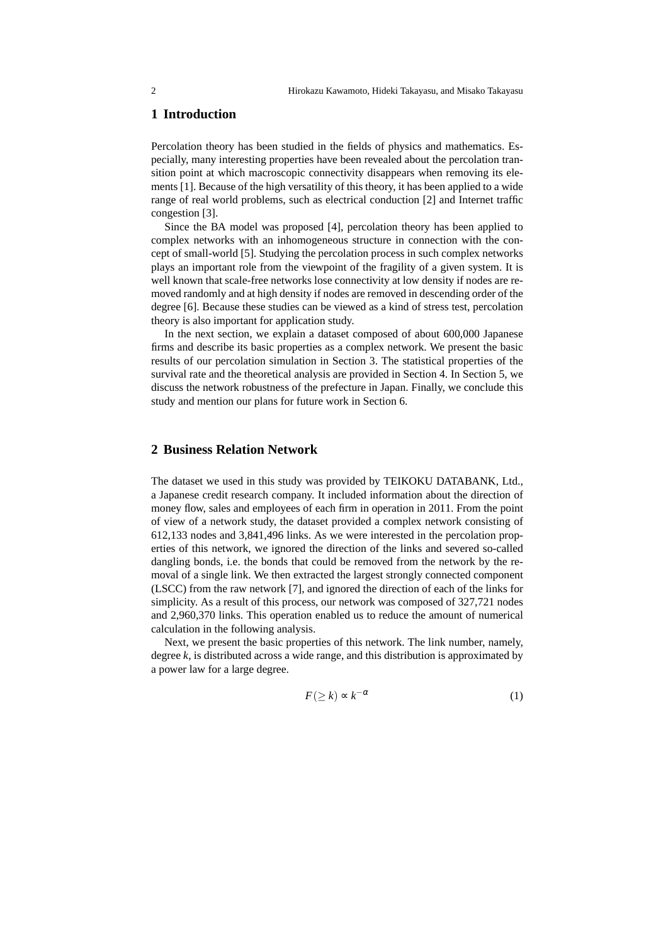# **1 Introduction**

Percolation theory has been studied in the fields of physics and mathematics. Especially, many interesting properties have been revealed about the percolation transition point at which macroscopic connectivity disappears when removing its elements [1]. Because of the high versatility of this theory, it has been applied to a wide range of real world problems, such as electrical conduction [2] and Internet traffic congestion [3].

Since the BA model was proposed [4], percolation theory has been applied to complex networks with an inhomogeneous structure in connection with the concept of small-world [5]. Studying the percolation process in such complex networks plays an important role from the viewpoint of the fragility of a given system. It is well known that scale-free networks lose connectivity at low density if nodes are removed randomly and at high density if nodes are removed in descending order of the degree [6]. Because these studies can be viewed as a kind of stress test, percolation theory is also important for application study.

In the next section, we explain a dataset composed of about 600,000 Japanese firms and describe its basic properties as a complex network. We present the basic results of our percolation simulation in Section 3. The statistical properties of the survival rate and the theoretical analysis are provided in Section 4. In Section 5, we discuss the network robustness of the prefecture in Japan. Finally, we conclude this study and mention our plans for future work in Section 6.

#### **2 Business Relation Network**

The dataset we used in this study was provided by TEIKOKU DATABANK, Ltd., a Japanese credit research company. It included information about the direction of money flow, sales and employees of each firm in operation in 2011. From the point of view of a network study, the dataset provided a complex network consisting of 612,133 nodes and 3,841,496 links. As we were interested in the percolation properties of this network, we ignored the direction of the links and severed so-called dangling bonds, i.e. the bonds that could be removed from the network by the removal of a single link. We then extracted the largest strongly connected component (LSCC) from the raw network [7], and ignored the direction of each of the links for simplicity. As a result of this process, our network was composed of 327,721 nodes and 2,960,370 links. This operation enabled us to reduce the amount of numerical calculation in the following analysis.

Next, we present the basic properties of this network. The link number, namely, degree *k*, is distributed across a wide range, and this distribution is approximated by a power law for a large degree.

$$
F(\geq k) \sim k^{-\alpha} \tag{1}
$$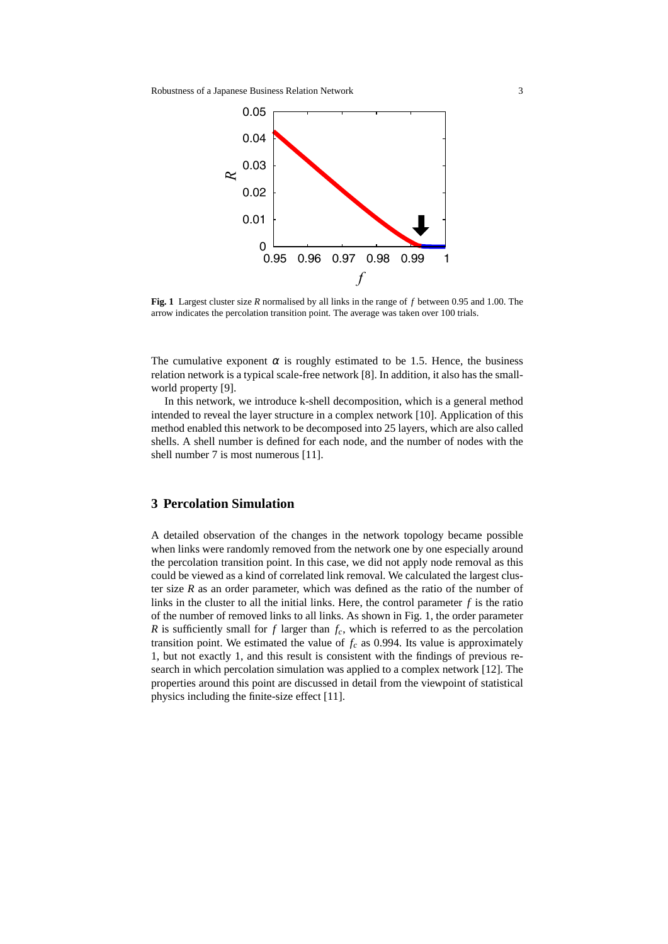

**Fig. 1** Largest cluster size *R* normalised by all links in the range of *f* between 0.95 and 1.00. The arrow indicates the percolation transition point. The average was taken over 100 trials.

The cumulative exponent  $\alpha$  is roughly estimated to be 1.5. Hence, the business relation network is a typical scale-free network [8]. In addition, it also has the smallworld property [9].

In this network, we introduce k-shell decomposition, which is a general method intended to reveal the layer structure in a complex network [10]. Application of this method enabled this network to be decomposed into 25 layers, which are also called shells. A shell number is defined for each node, and the number of nodes with the shell number 7 is most numerous [11].

### **3 Percolation Simulation**

A detailed observation of the changes in the network topology became possible when links were randomly removed from the network one by one especially around the percolation transition point. In this case, we did not apply node removal as this could be viewed as a kind of correlated link removal. We calculated the largest cluster size  $R$  as an order parameter, which was defined as the ratio of the number of links in the cluster to all the initial links. Here, the control parameter *f* is the ratio of the number of removed links to all links. As shown in Fig. 1, the order parameter *R* is sufficiently small for  $f$  larger than  $f_c$ , which is referred to as the percolation transition point. We estimated the value of  $f_c$  as 0.994. Its value is approximately 1, but not exactly 1, and this result is consistent with the findings of previous research in which percolation simulation was applied to a complex network [12]. The properties around this point are discussed in detail from the viewpoint of statistical physics including the finite-size effect [11].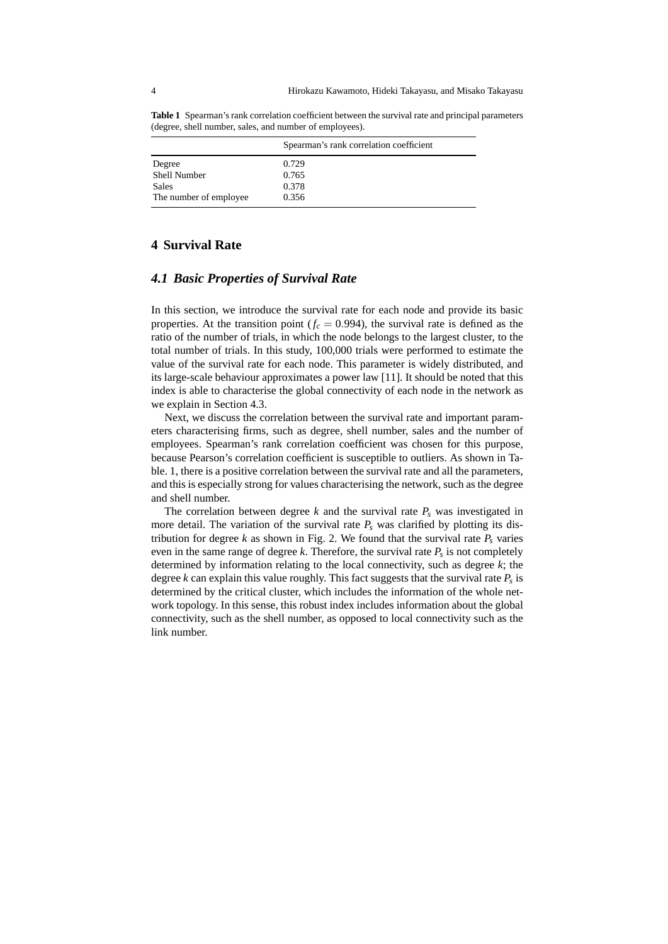**Table 1** Spearman's rank correlation coefficient between the survival rate and principal parameters (degree, shell number, sales, and number of employees).

|                         | Spearman's rank correlation coefficient |
|-------------------------|-----------------------------------------|
| Degree                  | 0.729                                   |
| Shell Number            | 0.765                                   |
| Sales                   | 0.378                                   |
| The number of employee. | 0.356                                   |

# **4 Survival Rate**

### *4.1 Basic Properties of Survival Rate*

In this section, we introduce the survival rate for each node and provide its basic properties. At the transition point  $(f_c = 0.994)$ , the survival rate is defined as the ratio of the number of trials, in which the node belongs to the largest cluster, to the total number of trials. In this study, 100,000 trials were performed to estimate the value of the survival rate for each node. This parameter is widely distributed, and its large-scale behaviour approximates a power law [11]. It should be noted that this index is able to characterise the global connectivity of each node in the network as we explain in Section 4.3.

Next, we discuss the correlation between the survival rate and important parameters characterising firms, such as degree, shell number, sales and the number of employees. Spearman's rank correlation coefficient was chosen for this purpose, because Pearson's correlation coefficient is susceptible to outliers. As shown in Table. 1, there is a positive correlation between the survival rate and all the parameters, and this is especially strong for values characterising the network, such as the degree and shell number.

The correlation between degree  $k$  and the survival rate  $P_s$  was investigated in more detail. The variation of the survival rate  $P_s$  was clarified by plotting its distribution for degree  $k$  as shown in Fig. 2. We found that the survival rate  $P_s$  varies even in the same range of degree *k*. Therefore, the survival rate *P<sup>s</sup>* is not completely determined by information relating to the local connectivity, such as degree *k*; the degree *k* can explain this value roughly. This fact suggests that the survival rate *P<sup>s</sup>* is determined by the critical cluster, which includes the information of the whole network topology. In this sense, this robust index includes information about the global connectivity, such as the shell number, as opposed to local connectivity such as the link number.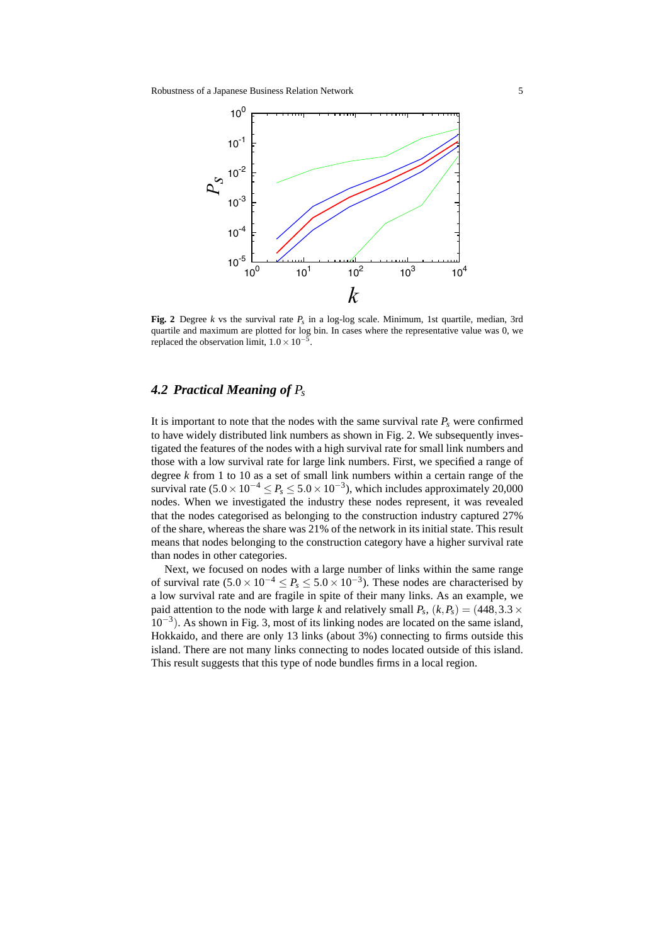

**Fig. 2** Degree *k* vs the survival rate *P<sup>s</sup>* in a log-log scale. Minimum, 1st quartile, median, 3rd quartile and maximum are plotted for log bin. In cases where the representative value was 0, we replaced the observation limit, 1*.*0*×*10*−*<sup>5</sup> .

# *4.2 Practical Meaning of P<sup>s</sup>*

It is important to note that the nodes with the same survival rate  $P_s$  were confirmed to have widely distributed link numbers as shown in Fig. 2. We subsequently investigated the features of the nodes with a high survival rate for small link numbers and those with a low survival rate for large link numbers. First, we specified a range of degree *k* from 1 to 10 as a set of small link numbers within a certain range of the survival rate (5*.*0*×*10*−*<sup>4</sup> *≤ P<sup>s</sup> ≤* 5*.*0*×*10*−*<sup>3</sup> ), which includes approximately 20,000 nodes. When we investigated the industry these nodes represent, it was revealed that the nodes categorised as belonging to the construction industry captured 27% of the share, whereas the share was 21% of the network in its initial state. This result means that nodes belonging to the construction category have a higher survival rate than nodes in other categories.

Next, we focused on nodes with a large number of links within the same range of survival rate  $(5.0 \times 10^{-4} \le P_s \le 5.0 \times 10^{-3})$ . These nodes are characterised by a low survival rate and are fragile in spite of their many links. As an example, we paid attention to the node with large *k* and relatively small  $P_s$ ,  $(k, P_s) = (448, 3.3 \times$ 10*−*<sup>3</sup> ). As shown in Fig. 3, most of its linking nodes are located on the same island, Hokkaido, and there are only 13 links (about 3%) connecting to firms outside this island. There are not many links connecting to nodes located outside of this island. This result suggests that this type of node bundles firms in a local region.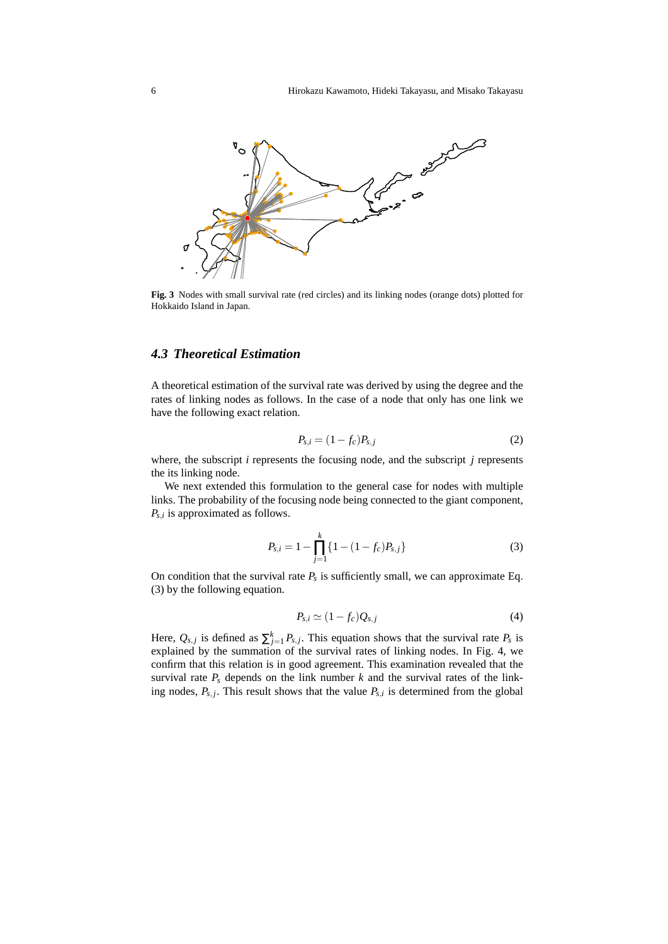

**Fig. 3** Nodes with small survival rate (red circles) and its linking nodes (orange dots) plotted for Hokkaido Island in Japan.

# *4.3 Theoretical Estimation*

A theoretical estimation of the survival rate was derived by using the degree and the rates of linking nodes as follows. In the case of a node that only has one link we have the following exact relation.

$$
P_{s,i} = (1 - f_c)P_{s,j}
$$
 (2)

where, the subscript *i* represents the focusing node, and the subscript *j* represents the its linking node.

We next extended this formulation to the general case for nodes with multiple links. The probability of the focusing node being connected to the giant component, *Ps,<sup>i</sup>* is approximated as follows.

$$
P_{s,i} = 1 - \prod_{j=1}^{k} \{ 1 - (1 - f_c) P_{s,j} \}
$$
\n(3)

On condition that the survival rate  $P_s$  is sufficiently small, we can approximate Eq. (3) by the following equation.

$$
P_{s,i} \simeq (1 - f_c) Q_{s,j} \tag{4}
$$

Here,  $Q_{s,j}$  is defined as  $\sum_{j=1}^{k} P_{s,j}$ . This equation shows that the survival rate  $P_s$  is explained by the summation of the survival rates of linking nodes. In Fig. 4, we confirm that this relation is in good agreement. This examination revealed that the survival rate  $P_s$  depends on the link number  $k$  and the survival rates of the linking nodes,  $P_{s,j}$ . This result shows that the value  $P_{s,i}$  is determined from the global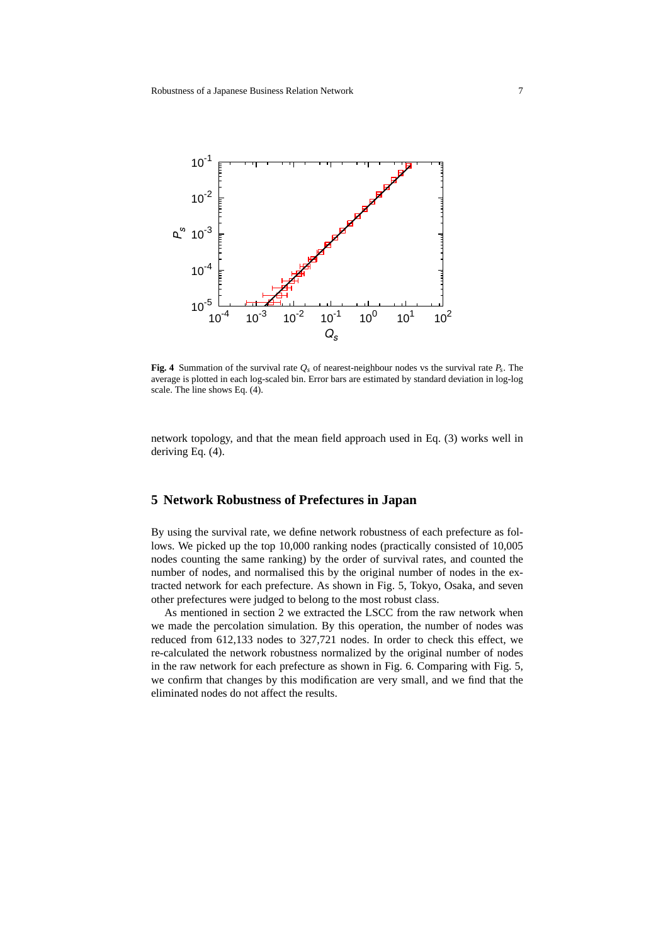

**Fig. 4** Summation of the survival rate  $Q_s$  of nearest-neighbour nodes vs the survival rate  $P_s$ . The average is plotted in each log-scaled bin. Error bars are estimated by standard deviation in log-log scale. The line shows Eq. (4).

network topology, and that the mean field approach used in Eq. (3) works well in deriving Eq. (4).

# **5 Network Robustness of Prefectures in Japan**

By using the survival rate, we define network robustness of each prefecture as follows. We picked up the top 10,000 ranking nodes (practically consisted of 10,005 nodes counting the same ranking) by the order of survival rates, and counted the number of nodes, and normalised this by the original number of nodes in the extracted network for each prefecture. As shown in Fig. 5, Tokyo, Osaka, and seven other prefectures were judged to belong to the most robust class.

As mentioned in section 2 we extracted the LSCC from the raw network when we made the percolation simulation. By this operation, the number of nodes was reduced from 612,133 nodes to 327,721 nodes. In order to check this effect, we re-calculated the network robustness normalized by the original number of nodes in the raw network for each prefecture as shown in Fig. 6. Comparing with Fig. 5, we confirm that changes by this modification are very small, and we find that the eliminated nodes do not affect the results.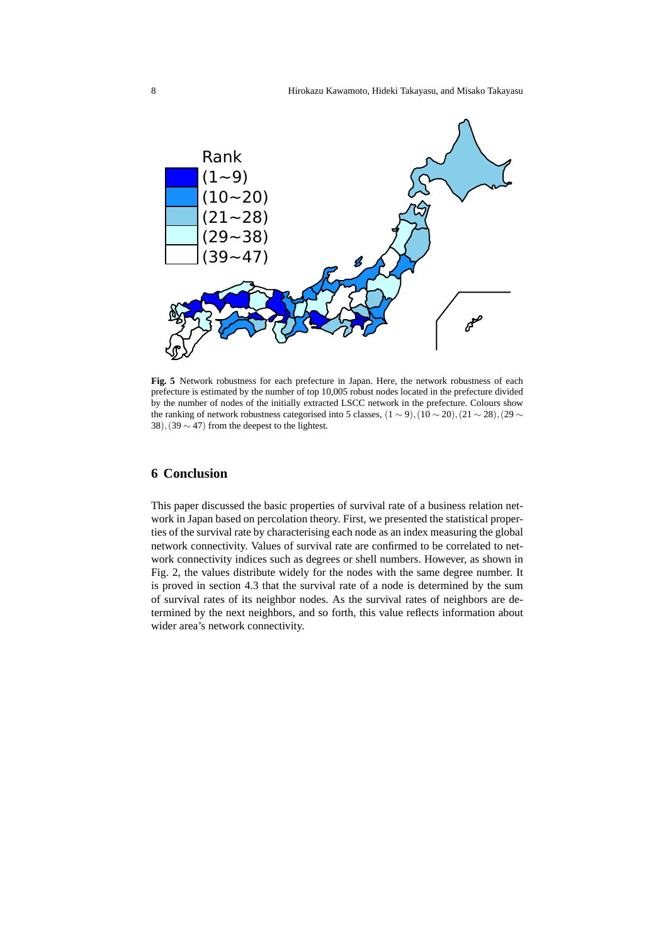

**Fig. 5** Network robustness for each prefecture in Japan. Here, the network robustness of each prefecture is estimated by the number of top 10,005 robust nodes located in the prefecture divided by the number of nodes of the initially extracted LSCC network in the prefecture. Colours show the ranking of network robustness categorised into 5 classes,  $(1 \sim 9)$ ,  $(10 \sim 20)$ ,  $(21 \sim 28)$ ,  $(29 \sim$ 38)*,*(39 *∼* 47) from the deepest to the lightest.

### **6 Conclusion**

This paper discussed the basic properties of survival rate of a business relation network in Japan based on percolation theory. First, we presented the statistical properties of the survival rate by characterising each node as an index measuring the global network connectivity. Values of survival rate are confirmed to be correlated to network connectivity indices such as degrees or shell numbers. However, as shown in Fig. 2, the values distribute widely for the nodes with the same degree number. It is proved in section 4.3 that the survival rate of a node is determined by the sum of survival rates of its neighbor nodes. As the survival rates of neighbors are determined by the next neighbors, and so forth, this value reflects information about wider area's network connectivity.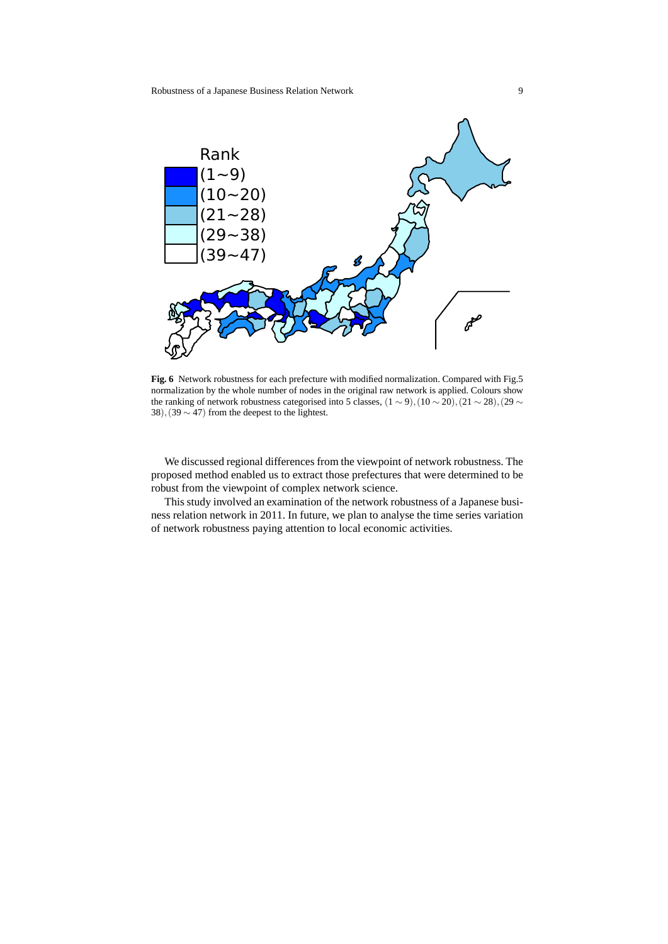

**Fig. 6** Network robustness for each prefecture with modified normalization. Compared with Fig.5 normalization by the whole number of nodes in the original raw network is applied. Colours show the ranking of network robustness categorised into 5 classes,  $(1 \sim 9)$ ,  $(10 \sim 20)$ ,  $(21 \sim 28)$ ,  $(29 \sim 20)$ 38)*,*(39 *∼* 47) from the deepest to the lightest.

We discussed regional differences from the viewpoint of network robustness. The proposed method enabled us to extract those prefectures that were determined to be robust from the viewpoint of complex network science.

This study involved an examination of the network robustness of a Japanese business relation network in 2011. In future, we plan to analyse the time series variation of network robustness paying attention to local economic activities.